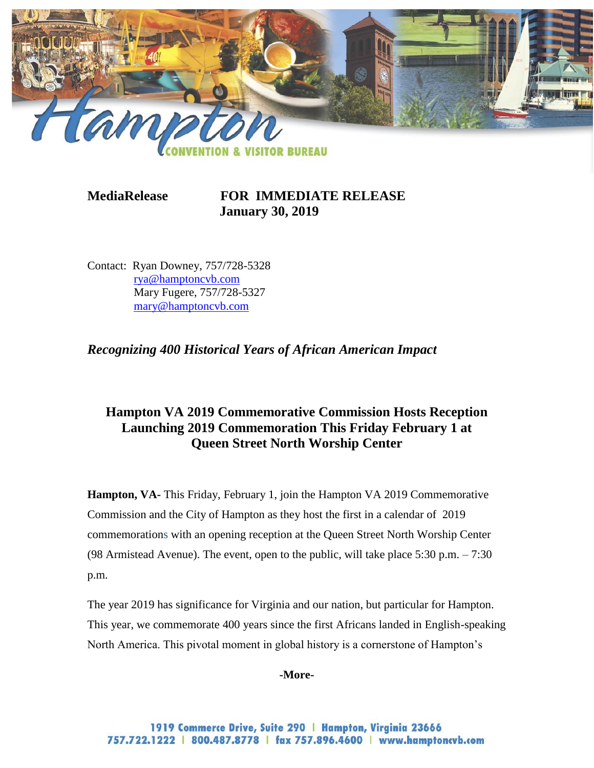

**MediaRelease FOR IMMEDIATE RELEASE January 30, 2019**

Contact: Ryan Downey, 757/728-5328 [rya@hamptoncvb.com](mailto:rya@hamptoncvb.com) Mary Fugere, 757/728-5327 [mary@hamptoncvb.com](mailto:mary@hamptoncvb.com)

*Recognizing 400 Historical Years of African American Impact*

## **Hampton VA 2019 Commemorative Commission Hosts Reception Launching 2019 Commemoration This Friday February 1 at Queen Street North Worship Center**

**Hampton, VA-** This Friday, February 1, join the Hampton VA 2019 Commemorative Commission and the City of Hampton as they host the first in a calendar of 2019 commemorations with an opening reception at the Queen Street North Worship Center (98 Armistead Avenue). The event, open to the public, will take place 5:30 p.m. – 7:30 p.m.

The year 2019 has significance for Virginia and our nation, but particular for Hampton. This year, we commemorate 400 years since the first Africans landed in English-speaking North America. This pivotal moment in global history is a cornerstone of Hampton's

**-More-**

1919 Commerce Drive, Suite 290 | Hampton, Virginia 23666 757.722.1222 | 800.487.8778 | fax 757.896.4600 | www.hamptoncvb.com